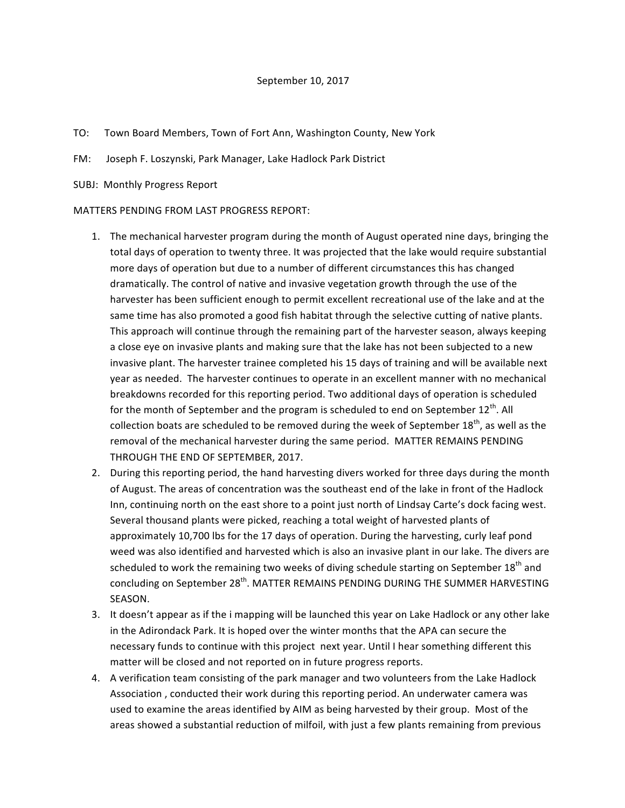- TO: Town Board Members, Town of Fort Ann, Washington County, New York
- FM: Joseph F. Loszynski, Park Manager, Lake Hadlock Park District
- SUBJ: Monthly Progress Report

## MATTERS PENDING FROM LAST PROGRESS REPORT:

- 1. The mechanical harvester program during the month of August operated nine days, bringing the total days of operation to twenty three. It was projected that the lake would require substantial more days of operation but due to a number of different circumstances this has changed dramatically. The control of native and invasive vegetation growth through the use of the harvester has been sufficient enough to permit excellent recreational use of the lake and at the same time has also promoted a good fish habitat through the selective cutting of native plants. This approach will continue through the remaining part of the harvester season, always keeping a close eye on invasive plants and making sure that the lake has not been subjected to a new invasive plant. The harvester trainee completed his 15 days of training and will be available next year as needed. The harvester continues to operate in an excellent manner with no mechanical breakdowns recorded for this reporting period. Two additional days of operation is scheduled for the month of September and the program is scheduled to end on September  $12^{th}$ . All collection boats are scheduled to be removed during the week of September  $18^{th}$ , as well as the removal of the mechanical harvester during the same period. MATTER REMAINS PENDING THROUGH THE END OF SEPTEMBER, 2017.
- 2. During this reporting period, the hand harvesting divers worked for three days during the month of August. The areas of concentration was the southeast end of the lake in front of the Hadlock Inn, continuing north on the east shore to a point just north of Lindsay Carte's dock facing west. Several thousand plants were picked, reaching a total weight of harvested plants of approximately 10,700 lbs for the 17 days of operation. During the harvesting, curly leaf pond weed was also identified and harvested which is also an invasive plant in our lake. The divers are scheduled to work the remaining two weeks of diving schedule starting on September 18<sup>th</sup> and concluding on September 28<sup>th</sup>. MATTER REMAINS PENDING DURING THE SUMMER HARVESTING SEASON.
- 3. It doesn't appear as if the i mapping will be launched this year on Lake Hadlock or any other lake in the Adirondack Park. It is hoped over the winter months that the APA can secure the necessary funds to continue with this project next year. Until I hear something different this matter will be closed and not reported on in future progress reports.
- 4. A verification team consisting of the park manager and two volunteers from the Lake Hadlock Association, conducted their work during this reporting period. An underwater camera was used to examine the areas identified by AIM as being harvested by their group. Most of the areas showed a substantial reduction of milfoil, with just a few plants remaining from previous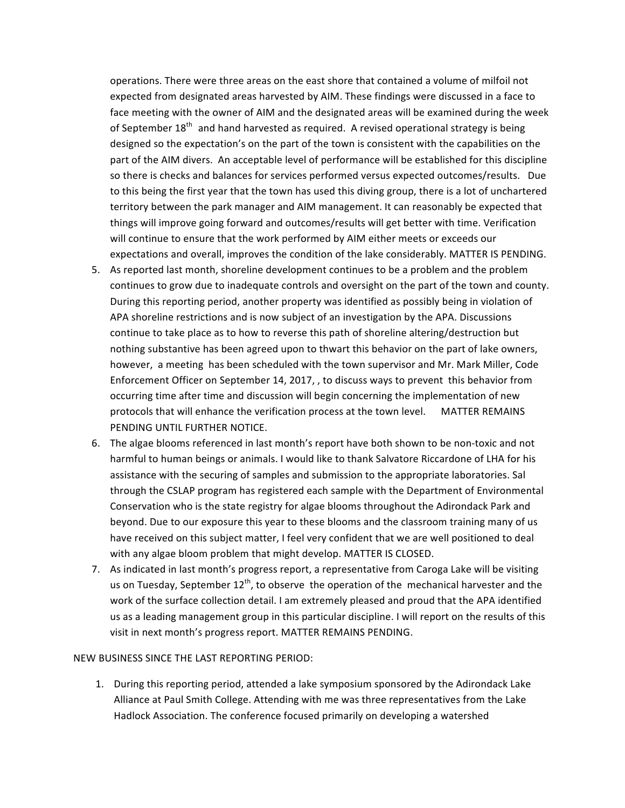operations. There were three areas on the east shore that contained a volume of milfoil not expected from designated areas harvested by AIM. These findings were discussed in a face to face meeting with the owner of AIM and the designated areas will be examined during the week of September  $18^{th}$  and hand harvested as required. A revised operational strategy is being designed so the expectation's on the part of the town is consistent with the capabilities on the part of the AIM divers. An acceptable level of performance will be established for this discipline so there is checks and balances for services performed versus expected outcomes/results. Due to this being the first year that the town has used this diving group, there is a lot of unchartered territory between the park manager and AIM management. It can reasonably be expected that things will improve going forward and outcomes/results will get better with time. Verification will continue to ensure that the work performed by AIM either meets or exceeds our expectations and overall, improves the condition of the lake considerably. MATTER IS PENDING.

- 5. As reported last month, shoreline development continues to be a problem and the problem continues to grow due to inadequate controls and oversight on the part of the town and county. During this reporting period, another property was identified as possibly being in violation of APA shoreline restrictions and is now subject of an investigation by the APA. Discussions continue to take place as to how to reverse this path of shoreline altering/destruction but nothing substantive has been agreed upon to thwart this behavior on the part of lake owners, however, a meeting has been scheduled with the town supervisor and Mr. Mark Miller, Code Enforcement Officer on September 14, 2017, , to discuss ways to prevent this behavior from occurring time after time and discussion will begin concerning the implementation of new protocols that will enhance the verification process at the town level. MATTER REMAINS PENDING UNTIL FURTHER NOTICE.
- 6. The algae blooms referenced in last month's report have both shown to be non-toxic and not harmful to human beings or animals. I would like to thank Salvatore Riccardone of LHA for his assistance with the securing of samples and submission to the appropriate laboratories. Sal through the CSLAP program has registered each sample with the Department of Environmental Conservation who is the state registry for algae blooms throughout the Adirondack Park and beyond. Due to our exposure this year to these blooms and the classroom training many of us have received on this subject matter, I feel very confident that we are well positioned to deal with any algae bloom problem that might develop. MATTER IS CLOSED.
- 7. As indicated in last month's progress report, a representative from Caroga Lake will be visiting us on Tuesday, September  $12^{th}$ , to observe the operation of the mechanical harvester and the work of the surface collection detail. I am extremely pleased and proud that the APA identified us as a leading management group in this particular discipline. I will report on the results of this visit in next month's progress report. MATTER REMAINS PENDING.

## NEW BUSINESS SINCE THE LAST REPORTING PERIOD:

1. During this reporting period, attended a lake symposium sponsored by the Adirondack Lake Alliance at Paul Smith College. Attending with me was three representatives from the Lake Hadlock Association. The conference focused primarily on developing a watershed